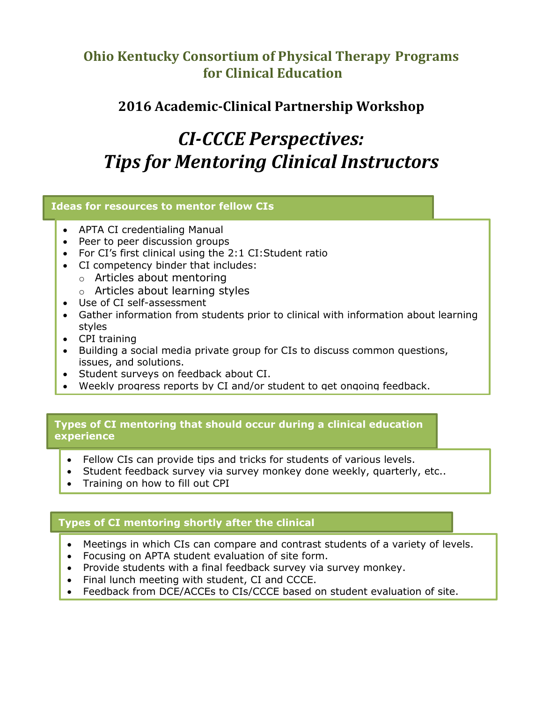# **Ohio Kentucky Consortium of Physical Therapy Programs for Clinical Education**

# **2016 Academic-Clinical Partnership Workshop**

# *CI-CCCE Perspectives: Tips for Mentoring Clinical Instructors*

## **Ideas for resources to mentor fellow CIs**

- APTA CI credentialing Manual
- Peer to peer discussion groups
- For CI's first clinical using the 2:1 CI:Student ratio
- CI competency binder that includes:
	- o Articles about mentoring
	- o Articles about learning styles
- Use of CI self-assessment
- Gather information from students prior to clinical with information about learning styles
- CPI training
- Building a social media private group for CIs to discuss common questions, issues, and solutions.
- Student surveys on feedback about CI.
- Weekly progress reports by CI and/or student to get ongoing feedback.

### **Types of CI mentoring that should occur during a clinical education experience**

- Fellow CIs can provide tips and tricks for students of various levels.
- Student feedback survey via survey monkey done weekly, quarterly, etc..
- Training on how to fill out CPI

# **Types of CI mentoring shortly after the clinical**

- Meetings in which CIs can compare and contrast students of a variety of levels.
- Focusing on APTA student evaluation of site form.
- Provide students with a final feedback survey via survey monkey.
- Final lunch meeting with student, CI and CCCE.
- Feedback from DCE/ACCEs to CIs/CCCE based on student evaluation of site.